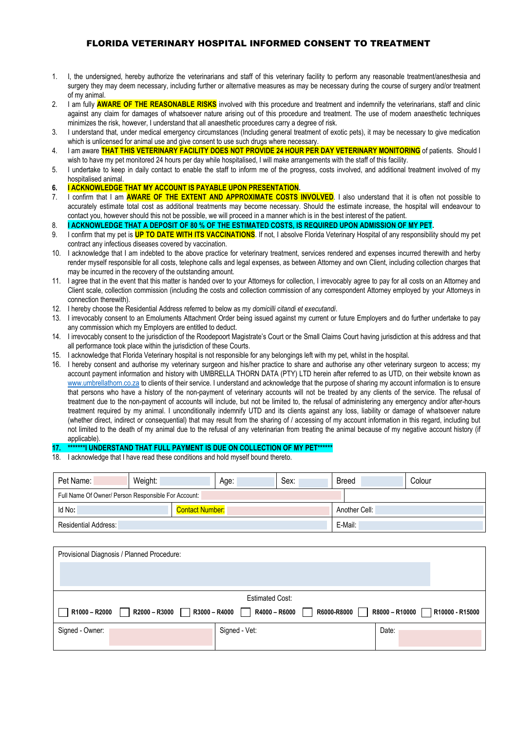## FLORIDA VETERINARY HOSPITAL INFORMED CONSENT TO TREATMENT

- 1. I, the undersigned, hereby authorize the veterinarians and staff of this veterinary facility to perform any reasonable treatment/anesthesia and surgery they may deem necessary, including further or alternative measures as may be necessary during the course of surgery and/or treatment of my animal.
- 2. I am fully **AWARE OF THE REASONABLE RISKS** involved with this procedure and treatment and indemnify the veterinarians, staff and clinic against any claim for damages of whatsoever nature arising out of this procedure and treatment. The use of modern anaesthetic techniques minimizes the risk, however, I understand that all anaesthetic procedures carry a degree of risk.
- 3. I understand that, under medical emergency circumstances (Including general treatment of exotic pets), it may be necessary to give medication which is unlicensed for animal use and give consent to use such drugs where necessary.
- 4. I am aware **THAT THIS VETERINARY FACILITY DOES NOT PROVIDE 24 HOUR PER DAY VETERINARY MONITORING** of patients. Should I wish to have my pet monitored 24 hours per day while hospitalised, I will make arrangements with the staff of this facility.
- 5. I undertake to keep in daily contact to enable the staff to inform me of the progress, costs involved, and additional treatment involved of my hospitalised animal.
- **6. I ACKNOWLEDGE THAT MY ACCOUNT IS PAYABLE UPON PRESENTATION.**
- 7. I confirm that I am **AWARE OF THE EXTENT AND APPROXIMATE COSTS INVOLVED**. I also understand that it is often not possible to accurately estimate total cost as additional treatments may become necessary. Should the estimate increase, the hospital will endeavour to contact you, however should this not be possible, we will proceed in a manner which is in the best interest of the patient.
- 8. **I ACKNOWLEDGE THAT A DEPOSIT OF 80 % OF THE ESTIMATED COSTS, IS REQUIRED UPON ADMISSION OF MY PET.**
- 9. I confirm that my pet is **UP TO DATE WITH ITS VACCINATIONS**. If not, I absolve Florida Veterinary Hospital of any responsibility should my pet contract any infectious diseases covered by vaccination.
- 10. I acknowledge that I am indebted to the above practice for veterinary treatment, services rendered and expenses incurred therewith and herby render myself responsible for all costs, telephone calls and legal expenses, as between Attorney and own Client, including collection charges that may be incurred in the recovery of the outstanding amount.
- 11. I agree that in the event that this matter is handed over to your Attorneys for collection, I irrevocably agree to pay for all costs on an Attorney and Client scale, collection commission (including the costs and collection commission of any correspondent Attorney employed by your Attorneys in connection therewith).
- 12. I hereby choose the Residential Address referred to below as my *domicilli citandi et executandi*.
- 13. I irrevocably consent to an Emoluments Attachment Order being issued against my current or future Employers and do further undertake to pay any commission which my Employers are entitled to deduct.
- 14. I irrevocably consent to the jurisdiction of the Roodepoort Magistrate's Court or the Small Claims Court having jurisdiction at this address and that all performance took place within the jurisdiction of these Courts.
- 15. I acknowledge that Florida Veterinary hospital is not responsible for any belongings left with my pet, whilst in the hospital.
- 16. I hereby consent and authorise my veterinary surgeon and his/her practice to share and authorise any other veterinary surgeon to access; my account payment information and history with UMBRELLA THORN DATA (PTY) LTD herein after referred to as UTD, on their website known as [www.umbrellathorn.co.za](http://www.umbrellathorn.co.za/) to clients of their service. I understand and acknowledge that the purpose of sharing my account information is to ensure that persons who have a history of the non-payment of veterinary accounts will not be treated by any clients of the service. The refusal of treatment due to the non-payment of accounts will include, but not be limited to, the refusal of administering any emergency and/or after-hours treatment required by my animal. I unconditionally indemnify UTD and its clients against any loss, liability or damage of whatsoever nature (whether direct, indirect or consequential) that may result from the sharing of / accessing of my account information in this regard, including but not limited to the death of my animal due to the refusal of any veterinarian from treating the animal because of my negative account history (if applicable).

## **17. \*\*\*\*\*\*\*I UNDERSTAND THAT FULL PAYMENT IS DUE ON COLLECTION OF MY PET\*\*\*\*\*\***

18. I acknowledge that I have read these conditions and hold myself bound thereto.

| Pet Name:                                           | Weight: |  | Age: |  | Sex:          | <b>Breed</b> |  | Colour |
|-----------------------------------------------------|---------|--|------|--|---------------|--------------|--|--------|
| Full Name Of Owner/ Person Responsible For Account: |         |  |      |  |               |              |  |        |
| Id No:<br><b>Contact Number:</b>                    |         |  |      |  | Another Cell: |              |  |        |
| <b>Residential Address:</b>                         |         |  |      |  | E-Mail:       |              |  |        |

| Provisional Diagnosis / Planned Procedure:                                                                           |               |       |  |  |  |  |
|----------------------------------------------------------------------------------------------------------------------|---------------|-------|--|--|--|--|
|                                                                                                                      |               |       |  |  |  |  |
|                                                                                                                      |               |       |  |  |  |  |
| <b>Estimated Cost:</b>                                                                                               |               |       |  |  |  |  |
| R1000 - R2000<br>R2000 - R3000<br>R3000 - R4000<br>R4000 - R6000<br>R6000-R8000<br>R8000 - R10000<br>R10000 - R15000 |               |       |  |  |  |  |
| Signed - Owner:                                                                                                      | Signed - Vet: | Date: |  |  |  |  |
|                                                                                                                      |               |       |  |  |  |  |